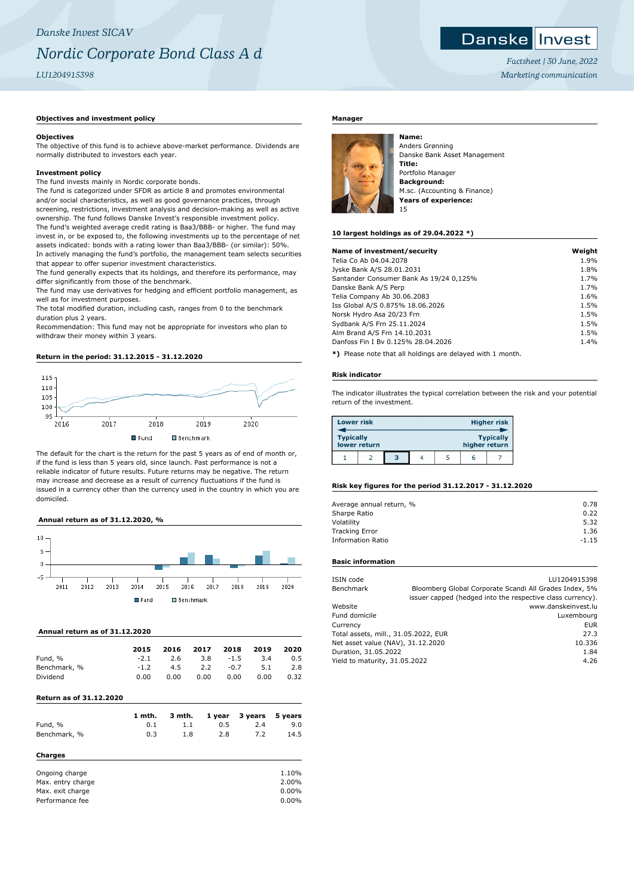## **Danske Invest**

*Factsheet | 30 June, 2022 Marketing communication*

### **Objectives and investment policy**

### **Objectives**

The objective of this fund is to achieve above-market performance. Dividends are normally distributed to investors each year.

### **Investment policy**

The fund invests mainly in Nordic corporate bonds.

The fund is categorized under SFDR as article 8 and promotes environmental and/or social characteristics, as well as good governance practices, through screening, restrictions, investment analysis and decision-making as well as active ownership. The fund follows Danske Invest's responsible investment policy. The fund's weighted average credit rating is Baa3/BBB- or higher. The fund may invest in, or be exposed to, the following investments up to the percentage of net assets indicated: bonds with a rating lower than Baa3/BBB- (or similar): 50%. In actively managing the fund's portfolio, the management team selects securities that appear to offer superior investment characteristics.

The fund generally expects that its holdings, and therefore its performance, may differ significantly from those of the benchmark.

The fund may use derivatives for hedging and efficient portfolio management, as well as for investment purposes.

The total modified duration, including cash, ranges from 0 to the benchmark duration plus 2 years.

Recommendation: This fund may not be appropriate for investors who plan to withdraw their money within 3 years.

### **Return in the period: 31.12.2015 - 31.12.2020**



The default for the chart is the return for the past 5 years as of end of month or, if the fund is less than 5 years old, since launch. Past performance is not a reliable indicator of future results. Future returns may be negative. The return may increase and decrease as a result of currency fluctuations if the fund is issued in a currency other than the currency used in the country in which you are domiciled.

### **Annual return as of 31.12.2020, %**



### **Annual return as of 31.12.2020**

|              | 2015   | 2016 | 2017 | 2018   | 2019 | 2020 |
|--------------|--------|------|------|--------|------|------|
| Fund, %      | $-2.1$ | 2.6  | 3.8  | $-1.5$ | 3.4  | 0.5  |
| Benchmark, % | $-1.2$ | 4.5  | 2.2  | $-0.7$ | 5.1  | 2.8  |
| Dividend     | 0.00   | 0.00 | 0.00 | 0.00   | 0.00 | 0.32 |

### **Return as of 31.12.2020**

|                   | 1 mth. | 3 mth. | 1 year | 3 years | 5 years |
|-------------------|--------|--------|--------|---------|---------|
| Fund, %           | 0.1    | 1.1    | 0.5    | 2.4     | 9.0     |
| Benchmark, %      | 0.3    | 1.8    | 2.8    | 7.2     | 14.5    |
| Charges           |        |        |        |         |         |
| Ongoing charge    |        |        |        |         | 1.10%   |
| Max. entry charge |        |        |        |         | 2.00%   |

| Charges           |       |
|-------------------|-------|
| Ongoing charge    | 1.10% |
| Max. entry charge | 2.00% |
| Max. exit charge  | 0.00% |
| Performance fee   | 0.00% |

### **Manager**



Anders Grønning Danske Bank Asset Management **Title:** Portfolio Manager **Background:** M.sc. (Accounting & Finance) **Years of experience:** 15

### **10 largest holdings as of 29.04.2022 \*)**

| Name of investment/security             | Weight |
|-----------------------------------------|--------|
| Telia Co Ab 04.04.2078                  | 1.9%   |
| Jyske Bank A/S 28.01.2031               | 1.8%   |
| Santander Consumer Bank As 19/24 0,125% | 1.7%   |
| Danske Bank A/S Perp                    | 1.7%   |
| Telia Company Ab 30.06.2083             | 1.6%   |
| Iss Global A/S 0.875% 18.06.2026        | 1.5%   |
| Norsk Hydro Asa 20/23 Frn               | 1.5%   |
| Sydbank A/S Frn 25.11.2024              | 1.5%   |
| Alm Brand A/S Frn 14.10.2031            | 1.5%   |
| Danfoss Fin I By 0.125% 28.04.2026      | 1.4%   |
|                                         |        |

**\*)** Please note that all holdings are delayed with 1 month.

### **Risk indicator**

The indicator illustrates the typical correlation between the risk and your potential return of the investment.

| <b>Lower risk</b> |              |   |  |               | <b>Higher risk</b> |
|-------------------|--------------|---|--|---------------|--------------------|
| <b>Typically</b>  | lower return |   |  | higher return | <b>Typically</b>   |
|                   |              | 3 |  | ь             |                    |

### **Risk key figures for the period 31.12.2017 - 31.12.2020**

| Average annual return, % | 0.78    |
|--------------------------|---------|
| Sharpe Ratio             | 0.22    |
| Volatility               | 5.32    |
| <b>Tracking Error</b>    | 1.36    |
| <b>Information Ratio</b> | $-1.15$ |
|                          |         |

### **Basic information**

| ISIN code                            |        | LU1204915398                                               |  |  |
|--------------------------------------|--------|------------------------------------------------------------|--|--|
| Benchmark                            |        | Bloomberg Global Corporate Scandi All Grades Index, 5%     |  |  |
|                                      |        | issuer capped (hedged into the respective class currency). |  |  |
| Website                              |        | www.danskeinvest.lu                                        |  |  |
| Fund domicile                        |        | Luxembourg                                                 |  |  |
| Currency                             |        | <b>EUR</b>                                                 |  |  |
| Total assets, mill., 31.05.2022, EUR |        | 27.3                                                       |  |  |
| Net asset value (NAV), 31.12.2020    | 10.336 |                                                            |  |  |
| Duration, 31.05.2022                 | 1.84   |                                                            |  |  |
| Yield to maturity, 31.05.2022        |        | 4.26                                                       |  |  |
|                                      |        |                                                            |  |  |